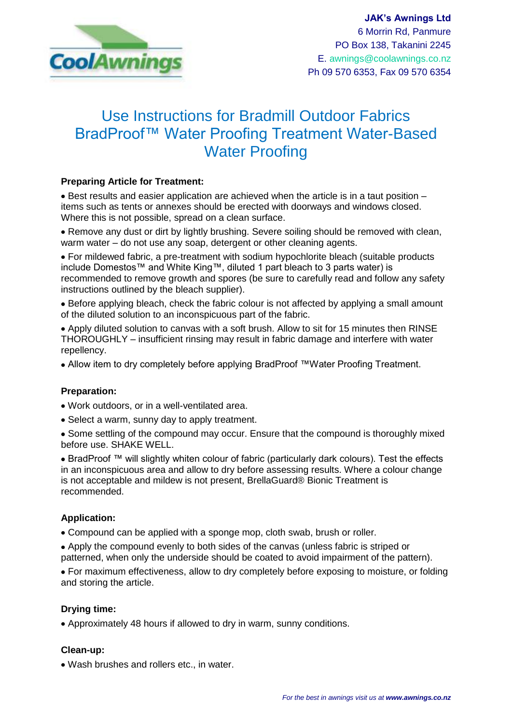

# Use Instructions for Bradmill Outdoor Fabrics BradProof™ Water Proofing Treatment Water-Based Water Proofing

#### **Preparing Article for Treatment:**

Best results and easier application are achieved when the article is in a taut position – items such as tents or annexes should be erected with doorways and windows closed. Where this is not possible, spread on a clean surface.

Remove any dust or dirt by lightly brushing. Severe soiling should be removed with clean, warm water – do not use any soap, detergent or other cleaning agents.

For mildewed fabric, a pre-treatment with sodium hypochlorite bleach (suitable products include Domestos™ and White King™, diluted 1 part bleach to 3 parts water) is recommended to remove growth and spores (be sure to carefully read and follow any safety instructions outlined by the bleach supplier).

Before applying bleach, check the fabric colour is not affected by applying a small amount of the diluted solution to an inconspicuous part of the fabric.

Apply diluted solution to canvas with a soft brush. Allow to sit for 15 minutes then RINSE THOROUGHLY – insufficient rinsing may result in fabric damage and interfere with water repellency.

Allow item to dry completely before applying BradProof ™Water Proofing Treatment.

#### **Preparation:**

- Work outdoors, or in a well-ventilated area.
- Select a warm, sunny day to apply treatment.

• Some settling of the compound may occur. Ensure that the compound is thoroughly mixed before use. SHAKE WELL.

BradProof ™ will slightly whiten colour of fabric (particularly dark colours). Test the effects in an inconspicuous area and allow to dry before assessing results. Where a colour change is not acceptable and mildew is not present, BrellaGuard® Bionic Treatment is recommended.

## **Application:**

Compound can be applied with a sponge mop, cloth swab, brush or roller.

Apply the compound evenly to both sides of the canvas (unless fabric is striped or patterned, when only the underside should be coated to avoid impairment of the pattern).

For maximum effectiveness, allow to dry completely before exposing to moisture, or folding and storing the article.

#### **Drying time:**

Approximately 48 hours if allowed to dry in warm, sunny conditions.

#### **Clean-up:**

Wash brushes and rollers etc., in water.